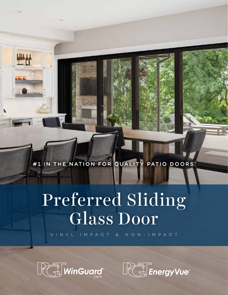#1 IN THE NATION FOR QUALITY PATIO DOORS

## Preferred Sliding Glass Door

VINYL IMPACT & NON-IMPACT



**WALLET** 

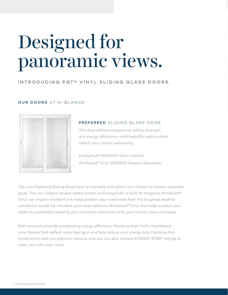## Designed for panoramic views.

## INTRODUCING PGT® VINYL SLIDING GLASS DOORS.

#### OUR DOORS AT-A-GLANCE



### PREFERRED SLIDING GLASS DOOR

This door delivers exceptional safety, strength, and energy efficiency—with beautiful options that reflect your home's personality.

EnergyVue® SGD5470 (Non-Impact) WinGuard® Vinyl SGD5570 (Impact-Resistant)

The vinyl Preferred Sliding Glass Door is available with either non-impact or impact-resistant glass. The non-impact version, better known as EnergyVue®, is built for longevity. WinGuard® Vinyl, our impact-resistant line, helps protect your loved ones from the toughest weather conditions, would-be intruders, and noise pollution. WinGuard® Vinyl also helps protect your wallet by potentially lowering your insurance premiums while your home's value increases.

Both products provide outstanding energy efficiency thanks to their multi-chambered vinyl frames that deflect solar heat gain and help reduce your energy bills. Combine this construction with our premium options, and you can also achieve ENERGY STAR® ratings to lower your bills even more.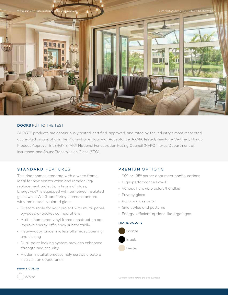

#### DOORS PUT TO THE TEST

All PGT® products are continuously tested, certified, approved, and rated by the industry's most respected, accredited organizations like Miami-Dade Notice of Acceptance, AAMA Tested/Keystone Certified, Florida Product Approval, ENERGY STAR®, National Fenestration Rating Council (NFRC), Texas Department of Insurance, and Sound Transmission Class (STC).

#### STANDARD FEATURES

This door comes standard with a white frame, ideal for new construction and remodeling/ replacement projects. In terms of glass, EnergyVue® is equipped with tempered insulated glass while WinGuard® Vinyl comes standard with laminated insulated glass.

- Customizable for your project with multi-panel, by-pass, or pocket configurations
- Multi-chambered vinyl frame construction can improve energy efficiency substantially
- Heavy-duty tandem rollers offer easy opening and closing
- Dual-point locking system provides enhanced strength and security
- Hidden installation/assembly screws create a sleek, clean appearance

#### PREMIUM OPTIONS

- 90° or 135° corner door meet configurations
- High-performance Low-E
- Various hardware colors/handles
- Privacy glass
- Popular glass tints
- Grid styles and patterns
- Energy-efficient options like argon gas

#### FRAME COLORS



#### FRAME COLOR

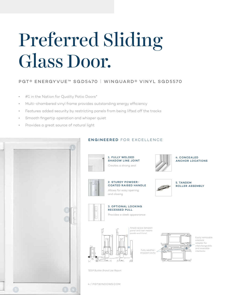## Preferred Sliding Glass Door.

## PGT® ENERGYVUE™ SGD5470 | WINGUARD® VINYL SGD5570

- #1 in the Nation for Quality Patio Doors\*
- Multi-chambered vinyl frame provides outstanding energy efficiency
- Features added security by restricting panels from being lifted off the tracks
- Smooth fingertip operation and whisper quiet
- Provides a great source of natural light



### ENGINEERED FOR EXCELLENCE

1. FULLY WELDED

Creates a strong seal









4. CONCEALED ANCHOR LOCATIONS



5. TANDEM ROLLER ASSEMBLY



3. OPTIONAL LOCKING RECESSED PULL Provides a sleek appearance



*\*2019 Builder Brand Use Report.*





Easily removable interlock adapter for interchangeable and reversible

4 / PGTWINDOWS.COM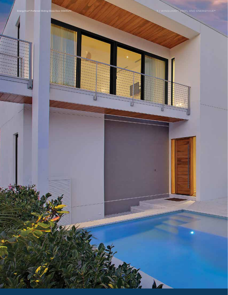O

Đ

в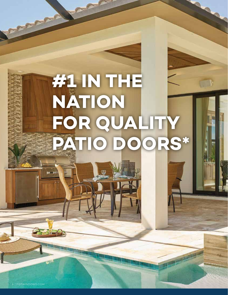# **#1 IN THE NATION FOR QUALITY PATIO DOORS\***

**Harry Street Ea**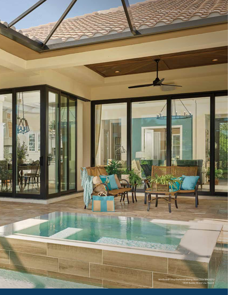